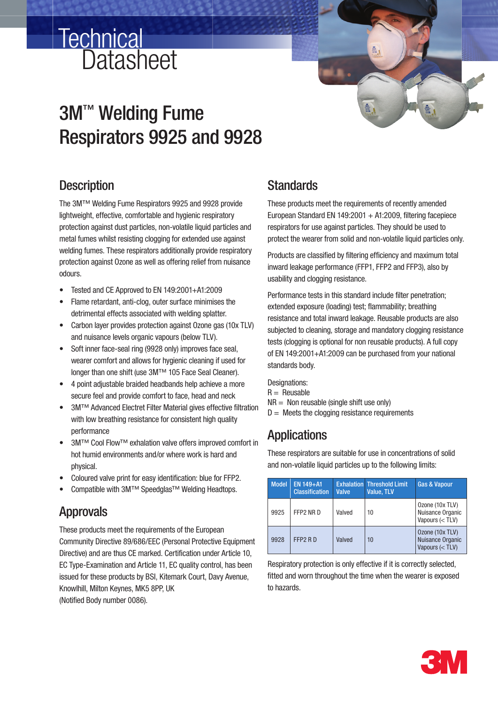# **Datasheet Technical**

## 3M™ Welding Fume Respirators 9925 and 9928

### **Description**

The 3M™ Welding Fume Respirators 9925 and 9928 provide lightweight, effective, comfortable and hygienic respiratory protection against dust particles, non-volatile liquid particles and metal fumes whilst resisting clogging for extended use against welding fumes. These respirators additionally provide respiratory protection against Ozone as well as offering relief from nuisance odours.

- Tested and CE Approved to EN 149:2001+A1:2009
- Flame retardant, anti-clog, outer surface minimises the detrimental effects associated with welding splatter.
- Carbon layer provides protection against Ozone gas (10x TLV) and nuisance levels organic vapours (below TLV).
- Soft inner face-seal ring (9928 only) improves face seal, wearer comfort and allows for hygienic cleaning if used for longer than one shift (use 3M™ 105 Face Seal Cleaner).
- 4 point adjustable braided headbands help achieve a more secure feel and provide comfort to face, head and neck
- 3M™ Advanced Electret Filter Material gives effective filtration with low breathing resistance for consistent high quality performance
- 3M™ Cool Flow™ exhalation valve offers improved comfort in hot humid environments and/or where work is hard and physical.
- Coloured valve print for easy identification: blue for FFP2.
- Compatible with 3M™ Speedglas™ Welding Headtops.

## Approvals

These products meet the requirements of the European Community Directive 89/686/EEC (Personal Protective Equipment Directive) and are thus CE marked. Certification under Article 10, EC Type-Examination and Article 11, EC quality control, has been issued for these products by BSI, Kitemark Court, Davy Avenue, Knowlhill, Milton Keynes, MK5 8PP, UK

### (Notified Body number 0086).

### **Standards**

These products meet the requirements of recently amended European Standard EN 149:2001  $+$  A1:2009, filtering facepiece respirators for use against particles. They should be used to protect the wearer from solid and non-volatile liquid particles only.

Products are classified by filtering efficiency and maximum total inward leakage performance (FFP1, FFP2 and FFP3), also by usability and clogging resistance.

Performance tests in this standard include filter penetration; extended exposure (loading) test; flammability; breathing resistance and total inward leakage. Reusable products are also subjected to cleaning, storage and mandatory clogging resistance tests (clogging is optional for non reusable products). A full copy of EN 149:2001+A1:2009 can be purchased from your national standards body.

Designations:

 $R =$  Reusable

- $NR =$  Non reusable (single shift use only)
- $D =$  Meets the clogging resistance requirements

### **Applications**

These respirators are suitable for use in concentrations of solid and non-volatile liquid particles up to the following limits:

| <b>Model</b> | EN 149+A1<br><b>Classification</b> | <b>Valve</b> | <b>Exhalation Threshold Limit</b><br>Value, TLV | <b>Gas &amp; Vapour</b>                                  |
|--------------|------------------------------------|--------------|-------------------------------------------------|----------------------------------------------------------|
| 9925         | FFP2 NR D                          | Valved       | 10                                              | Ozone (10x TLV)<br>Nuisance Organic<br>Vapours $(<$ TLV) |
| 9928         | FFP <sub>2</sub> RD                | Valved       | 10                                              | Ozone (10x TLV)<br>Nuisance Organic<br>Vapours (< TLV)   |

Respiratory protection is only effective if it is correctly selected. fitted and worn throughout the time when the wearer is exposed to hazards.

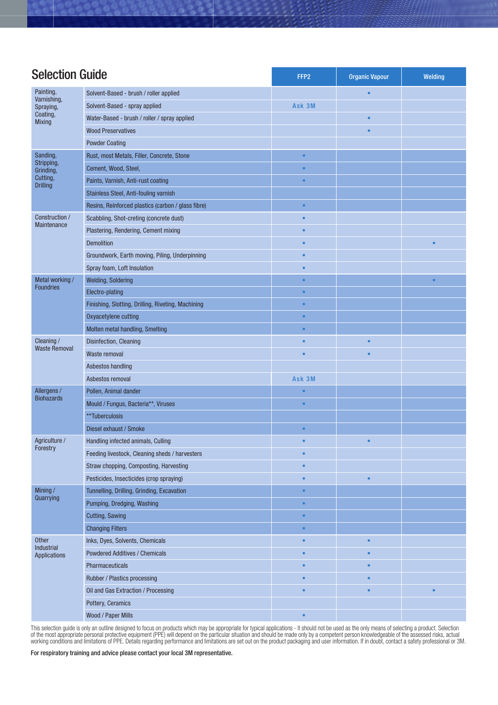| <b>Selection Guide</b>                                |                                                    | FFP <sub>2</sub> | <b>Organic Vapour</b> | Welding   |
|-------------------------------------------------------|----------------------------------------------------|------------------|-----------------------|-----------|
| Painting,                                             | Solvent-Based - brush / roller applied             |                  | $\bullet$             |           |
| Varnishing,<br>Spraying,<br>Coating,<br><b>Mixing</b> | Solvent-Based - spray applied                      | Ask 3M           |                       |           |
|                                                       | Water-Based - brush / roller / spray applied       |                  |                       |           |
|                                                       | <b>Wood Preservatives</b>                          |                  |                       |           |
|                                                       | <b>Powder Coating</b>                              |                  |                       |           |
| Sanding,                                              | Rust, most Metals, Filler, Concrete, Stone         | $\bullet$        |                       |           |
| Stripping,<br>Grinding,                               | Cement, Wood, Steel,                               | $\bullet$        |                       |           |
| Cutting,                                              | Paints, Varnish, Anti-rust coating                 |                  |                       |           |
| <b>Drilling</b>                                       | Stainless Steel, Anti-fouling varnish              |                  |                       |           |
|                                                       | Resins, Reinforced plastics (carbon / glass fibre) | $\bullet$        |                       |           |
| Construction /<br>Maintenance                         | Scabbling, Shot-creting (concrete dust)            | $\bullet$        |                       |           |
|                                                       | Plastering, Rendering, Cement mixing               |                  |                       |           |
|                                                       | <b>Demolition</b>                                  | $\bullet$        |                       | $\bullet$ |
|                                                       | Groundwork, Earth moving, Piling, Underpinning     | $\bullet$        |                       |           |
|                                                       | Spray foam, Loft Insulation                        | $\bullet$        |                       |           |
| Metal working /<br><b>Foundries</b>                   | <b>Welding, Soldering</b>                          | ۰                |                       | $\bullet$ |
|                                                       | Electro-plating                                    |                  |                       |           |
|                                                       | Finishing, Slotting, Drilling, Riveting, Machining |                  |                       |           |
|                                                       | Oxyacetylene cutting                               | $\bullet$        |                       |           |
|                                                       | Molten metal handling, Smelting                    | $\bullet$        |                       |           |
| Cleaning /                                            | Disinfection, Cleaning                             |                  |                       |           |
| <b>Waste Removal</b>                                  | Waste removal                                      | $\bullet$        | $\bullet$             |           |
|                                                       | Asbestos handling                                  |                  |                       |           |
|                                                       | Asbestos removal                                   | Ask 3M           |                       |           |
| Allergens /                                           | Pollen, Animal dander                              | $\bullet$        |                       |           |
| <b>Biohazards</b>                                     | Mould / Fungus, Bacteria**, Viruses                | $\bullet$        |                       |           |
|                                                       | **Tuberculosis                                     |                  |                       |           |
|                                                       | Diesel exhaust / Smoke                             | $\bullet$        |                       |           |
| Agriculture /<br>Forestry                             | Handling infected animals, Culling                 |                  |                       |           |
|                                                       | Feeding livestock, Cleaning sheds / harvesters     | $\bullet$        |                       |           |
|                                                       | Straw chopping, Composting, Harvesting             | $\bullet$        |                       |           |
|                                                       | Pesticides, Insecticides (crop spraying)           | ۰                | $\bullet$             |           |
| Mining/<br>Quarrying                                  | Tunnelling, Drilling, Grinding, Excavation         | $\bullet$        |                       |           |
|                                                       | Pumping, Dredging, Washing                         | $\bullet$        |                       |           |
|                                                       | Cutting, Sawing                                    | $\bullet$        |                       |           |
|                                                       | <b>Changing Filters</b>                            | $\bullet$        |                       |           |
| <b>Other</b><br>Industrial<br>Applications            | Inks, Dyes, Solvents, Chemicals                    | $\bullet$        | $\bullet$             |           |
|                                                       | <b>Powdered Additives / Chemicals</b>              | $\bullet$        | $\bullet$             |           |
|                                                       | Pharmaceuticals                                    | $\bullet$        | ٠                     |           |
|                                                       | Rubber / Plastics processing                       |                  |                       |           |
|                                                       | Oil and Gas Extraction / Processing                | $\bullet$        | $\bullet$             | $\bullet$ |
|                                                       | Pottery, Ceramics                                  |                  |                       |           |
|                                                       | Wood / Paper Mills                                 | $\bullet$        |                       |           |

This selection guide is only an outline designed to focus on products which may be appropriate for typical applications - it should not be used as the only means of selecting a product. Selection of the most appropriate personal protective equipment (PPE) will depend on the particular situation and should be made only by a competent person knowledgeable of the assessed risks, actual working conditions and limitations of PPE. Details regarding performance and limitations are set out on the product packaging and user information. If in doubt, contact a safety professional or 3M.

For respiratory training and advice please contact your local 3M representative.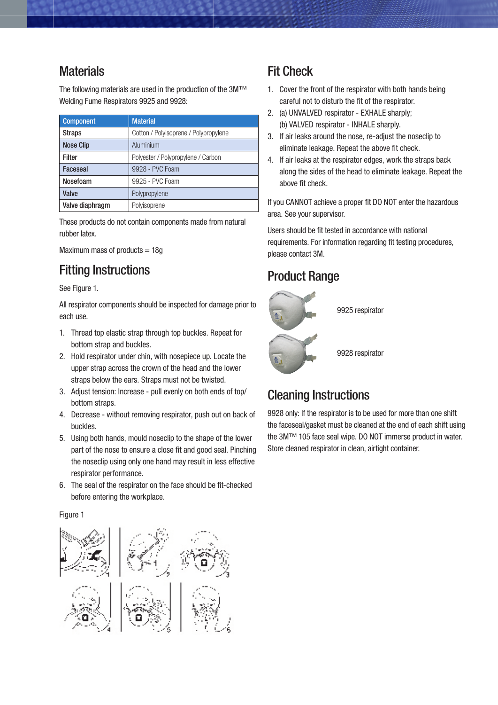### **Materials**

The following materials are used in the production of the 3M™ Welding Fume Respirators 9925 and 9928:

| Component        | <b>Material</b>                       |  |
|------------------|---------------------------------------|--|
| <b>Straps</b>    | Cotton / Polyisoprene / Polypropylene |  |
| <b>Nose Clip</b> | Aluminium                             |  |
| <b>Filter</b>    | Polyester / Polypropylene / Carbon    |  |
| <b>Faceseal</b>  | 9928 - PVC Foam                       |  |
| Nosefoam         | 9925 - PVC Foam                       |  |
| Valve            | Polypropylene                         |  |
| Valve diaphragm  | Polyisoprene                          |  |

These products do not contain components made from natural rubber latex.

Maximum mass of products  $= 18g$ 

### Fitting Instructions

See Figure 1.

All respirator components should be inspected for damage prior to each use.

- 1. Thread top elastic strap through top buckles. Repeat for bottom strap and buckles.
- 2. Hold respirator under chin, with nosepiece up. Locate the upper strap across the crown of the head and the lower straps below the ears. Straps must not be twisted.
- 3. Adjust tension: Increase pull evenly on both ends of top/ bottom straps.
- 4. Decrease without removing respirator, push out on back of buckles.
- 5. Using both hands, mould noseclip to the shape of the lower part of the nose to ensure a close fit and good seal. Pinching the noseclip using only one hand may result in less effective respirator performance.
- 6. The seal of the respirator on the face should be fit-checked before entering the workplace.

#### Figure 1



### Fit Check

- 1. Cover the front of the respirator with both hands being careful not to disturb the fit of the respirator.
- 2. (a) UNVALVED respirator EXHALE sharply; (b) VALVED respirator - INHALE sharply.
- 3. If air leaks around the nose, re-adjust the noseclip to eliminate leakage. Repeat the above fit check.
- 4. If air leaks at the respirator edges, work the straps back along the sides of the head to eliminate leakage. Repeat the above fit check.

If you CANNOT achieve a proper fit DO NOT enter the hazardous area. See your supervisor.

Users should be fit tested in accordance with national requirements. For information regarding fit testing procedures, please contact 3M.

### Product Range



9925 respirator

9928 respirator

## Cleaning Instructions

9928 only: If the respirator is to be used for more than one shift the faceseal/gasket must be cleaned at the end of each shift using the 3M™ 105 face seal wipe. DO NOT immerse product in water. Store cleaned respirator in clean, airtight container.